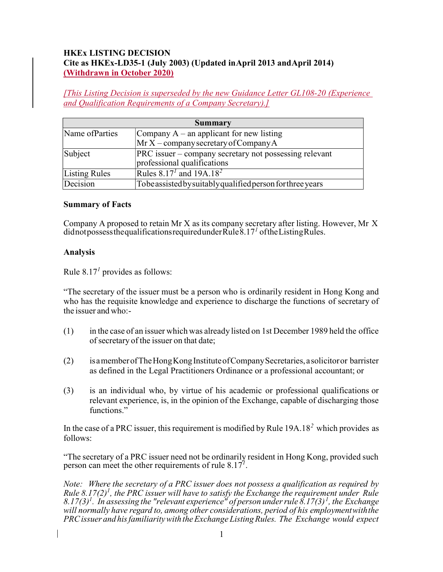# HKEx LISTING DECISION Cite as HKEx-LD35-1 (July 2003) (Updated in April 2013 and April 2014) (Withdrawn in October 2020)

[This Listing Decision is superseded by the new Guidance Letter GL108-20 (Experience and Qualification Requirements of a Company Secretary).]

| <b>Summary</b>  |                                                            |
|-----------------|------------------------------------------------------------|
| Name of Parties | Company $A - a$ n applicant for new listing                |
|                 | $Mr X$ – company secretary of Company A                    |
| Subject         | PRC issuer – company secretary not possessing relevant     |
|                 | professional qualifications                                |
| Listing Rules   | Rules $8.17^{1}$ and $19A.18^{2}$                          |
| Decision        | Tobe assisted by suitably qualified person for three years |

### Summary of Facts

Company A proposed to retain Mr  $X$  as its company secretary after listing. However, Mr  $X$ did not possess the qualifications required under Rule  $8.17<sup>1</sup>$  of the Listing Rules.

# Analysis

Rule  $8.17<sup>1</sup>$  provides as follows:

"The secretary of the issuer must be a person who is ordinarily resident in Hong Kong and who has the requisite knowledge and experience to discharge the functions of secretary of the issuer and who:-

- (1) in the case of an issuer which was already listed on 1st December 1989 held the office of secretary of the issuer on that date;
- (2) is a member of The Hong Kong Institute of Company Secretaries, a solicitor or barrister as defined in the Legal Practitioners Ordinance or a professional accountant; or
- (3) is an individual who, by virtue of his academic or professional qualifications or relevant experience, is, in the opinion of the Exchange, capable of discharging those functions."

In the case of a PRC issuer, this requirement is modified by Rule  $19A.18<sup>2</sup>$  which provides as follows:

"The secretary of a PRC issuer need not be ordinarily resident in Hong Kong, provided such person can meet the other requirements of rule  $8.17<sup>7</sup>$ .

Note: Where the secretary of a PRC issuer does not possess a qualification as required by Rule 8.17(2)<sup>1</sup>, the PRC issuer will have to satisfy the Exchange the requirement under Rule 8.17(3)<sup>1</sup>. In assessing the "relevant experience" of person under rule  $\delta$ .17(3)<sup>1</sup>, the Exchange will normally have regard to, among other considerations, period of his employment with the PRC issuer and his familiarity with the Exchange Listing Rules. The Exchange would expect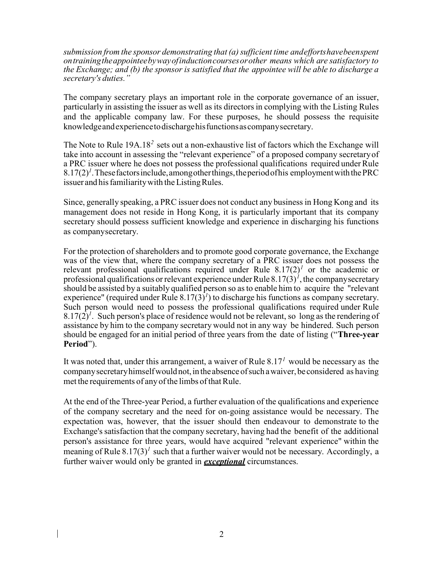submission from the sponsor demonstrating that (a) sufficient time and efforts have been spent on training the appointee by way of induction courses or other means which are satisfactory to the Exchange; and (b) the sponsor is satisfied that the appointee will be able to discharge a secretary's duties."

The company secretary plays an important role in the corporate governance of an issuer, particularly in assisting the issuer as well as its directors in complying with the Listing Rules and the applicable company law. For these purposes, he should possess the requisite knowledge and experience to discharge his functions as company secretary.

The Note to Rule  $19A.18<sup>2</sup>$  sets out a non-exhaustive list of factors which the Exchange will take into account in assessing the "relevant experience" of a proposed company secretary of a PRC issuer where he does not possess the professional qualifications required under Rule  $8.17(2)^{1}$ . These factors include, among other things, the period of his employment with the PRC issuer and his familiarity with the Listing Rules.

Since, generally speaking, a PRC issuer does not conduct any business in Hong Kong and its management does not reside in Hong Kong, it is particularly important that its company secretary should possess sufficient knowledge and experience in discharging his functions as company secretary.

For the protection of shareholders and to promote good corporate governance, the Exchange was of the view that, where the company secretary of a PRC issuer does not possess the relevant professional qualifications required under Rule  $8.17(2)^{1}$  or the academic or professional qualifications or relevant experience under Rule  $8.17(3)^{1}$ , the company secretary should be assisted by a suitably qualified person so as to enable him to acquire the "relevant experience" (required under Rule  $8.17(3)^t$ ) to discharge his functions as company secretary. Such person would need to possess the professional qualifications required under Rule  $8.17(2)^{1}$ . Such person's place of residence would not be relevant, so long as the rendering of assistance by him to the company secretary would not in any way be hindered. Such person should be engaged for an initial period of three years from the date of listing ("Three-year Period").

It was noted that, under this arrangement, a waiver of Rule  $8.17<sup>1</sup>$  would be necessary as the company secretary himself would not, in the absence of such a waiver, be considered as having met the requirements of any of the limbs of that Rule.

At the end of the Three-year Period, a further evaluation of the qualifications and experience of the company secretary and the need for on-going assistance would be necessary. The expectation was, however, that the issuer should then endeavour to demonstrate to the Exchange's satisfaction that the company secretary, having had the benefit of the additional person's assistance for three years, would have acquired "relevant experience" within the meaning of Rule  $8.17(3)^{1}$  such that a further waiver would not be necessary. Accordingly, a further waiver would only be granted in *exceptional* circumstances.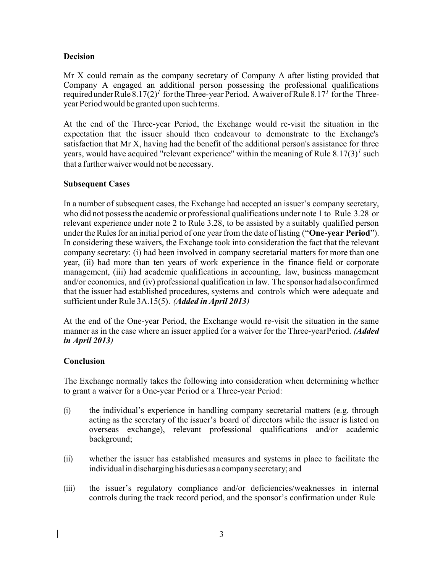# Decision

Mr X could remain as the company secretary of Company A after listing provided that Company A engaged an additional person possessing the professional qualifications required under Rule  $8.17(2)^{1}$  for the Three-year Period. A waiver of Rule  $8.17^{1}$  for the Threeyear Period would be granted upon such terms.

At the end of the Three-year Period, the Exchange would re-visit the situation in the expectation that the issuer should then endeavour to demonstrate to the Exchange's satisfaction that Mr X, having had the benefit of the additional person's assistance for three years, would have acquired "relevant experience" within the meaning of Rule  $8.17(3)^{1}$  such that a further waiver would not be necessary.

# Subsequent Cases

In a number of subsequent cases, the Exchange had accepted an issuer's company secretary, who did not possess the academic or professional qualifications under note 1 to Rule 3.28 or relevant experience under note 2 to Rule 3.28, to be assisted by a suitably qualified person under the Rules for an initial period of one year from the date of listing ("One-year Period"). In considering these waivers, the Exchange took into consideration the fact that the relevant company secretary: (i) had been involved in company secretarial matters for more than one year, (ii) had more than ten years of work experience in the finance field or corporate management, (iii) had academic qualifications in accounting, law, business management and/or economics, and (iv) professional qualification in law. The sponsor had also confirmed that the issuer had established procedures, systems and controls which were adequate and sufficient under Rule 3A.15(5). (Added in April 2013)

At the end of the One-year Period, the Exchange would re-visit the situation in the same manner as in the case where an issuer applied for a waiver for the Three-year Period. *(Added*) in April 2013)

### Conclusion

The Exchange normally takes the following into consideration when determining whether to grant a waiver for a One-year Period or a Three-year Period:

- (i) the individual's experience in handling company secretarial matters (e.g. through acting as the secretary of the issuer's board of directors while the issuer is listed on overseas exchange), relevant professional qualifications and/or academic background;
- (ii) whether the issuer has established measures and systems in place to facilitate the individual in discharging his duties as a company secretary; and
- (iii) the issuer's regulatory compliance and/or deficiencies/weaknesses in internal controls during the track record period, and the sponsor's confirmation under Rule